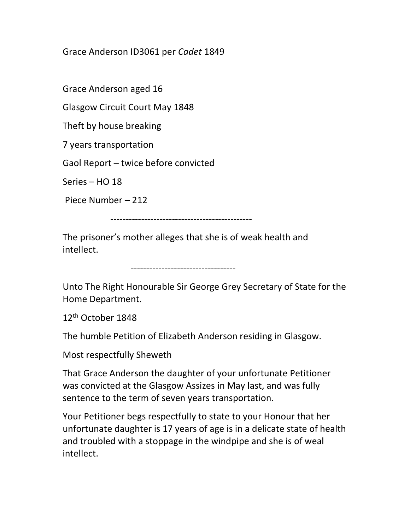## Grace Anderson ID3061 per Cadet 1849

Grace Anderson aged 16

Glasgow Circuit Court May 1848

Theft by house breaking

7 years transportation

Gaol Report – twice before convicted

Series – HO 18

Piece Number – 212

----------------------------------------------

The prisoner's mother alleges that she is of weak health and intellect.

----------------------------------

Unto The Right Honourable Sir George Grey Secretary of State for the Home Department.

12<sup>th</sup> October 1848

The humble Petition of Elizabeth Anderson residing in Glasgow.

Most respectfully Sheweth

That Grace Anderson the daughter of your unfortunate Petitioner was convicted at the Glasgow Assizes in May last, and was fully sentence to the term of seven years transportation.

Your Petitioner begs respectfully to state to your Honour that her unfortunate daughter is 17 years of age is in a delicate state of health and troubled with a stoppage in the windpipe and she is of weal intellect.